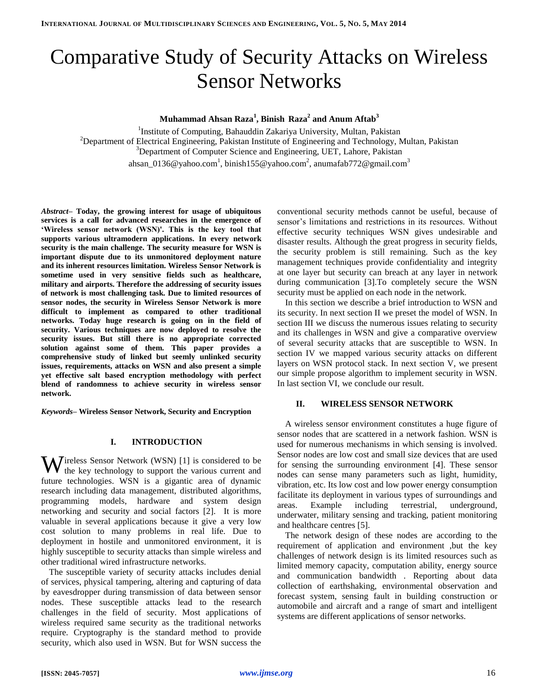# Comparative Study of Security Attacks on Wireless Sensor Networks

**Muhammad Ahsan Raza<sup>1</sup> , Binish Raza<sup>2</sup> and Anum Aftab<sup>3</sup>**

<sup>1</sup>Institute of Computing, Bahauddin Zakariya University, Multan, Pakistan <sup>2</sup>Department of Electrical Engineering, Pakistan Institute of Engineering and Technology, Multan, Pakistan <sup>3</sup>Department of Computer Science and Engineering, UET, Lahore, Pakistan ahsan\_0136@yahoo.com $^{\rm l}$ , binish155@yahoo.com $^{\rm 2}$ , anumafab772@gmail.com $^{\rm 3}$ 

*Abstract–* **Today, the growing interest for usage of ubiquitous services is a call for advanced researches in the emergence of 'Wireless sensor network (WSN)'. This is the key tool that supports various ultramodern applications. In every network security is the main challenge. The security measure for WSN is important dispute due to its unmonitored deployment nature and its inherent resources limitation. Wireless Sensor Network is sometime used in very sensitive fields such as healthcare, military and airports. Therefore the addressing of security issues of network is most challenging task. Due to limited resources of sensor nodes, the security in Wireless Sensor Network is more difficult to implement as compared to other traditional networks. Today huge research is going on in the field of security. Various techniques are now deployed to resolve the security issues. But still there is no appropriate corrected solution against some of them. This paper provides a comprehensive study of linked but seemly unlinked security issues, requirements, attacks on WSN and also present a simple yet effective salt based encryption methodology with perfect blend of randomness to achieve security in wireless sensor network.** 

*Keywords–* **Wireless Sensor Network, Security and Encryption**

#### **I. INTRODUCTION**

**W** ireless Sensor Network (WSN) [\[1\]](#page-5-0) is considered to be the key technology to support the various current and the key technology to support the various current and future technologies. WSN is a gigantic area of dynamic research including data management, distributed algorithms, programming models, hardware and system design networking and security and social factors [\[2\]](#page-5-1). It is more valuable in several applications because it give a very low cost solution to many problems in real life. Due to deployment in hostile and unmonitored environment, it is highly susceptible to security attacks than simple wireless and other traditional wired infrastructure networks.

The susceptible variety of security attacks includes denial of services, physical tampering, altering and capturing of data by eavesdropper during transmission of data between sensor nodes. These susceptible attacks lead to the research challenges in the field of security. Most applications of wireless required same security as the traditional networks require. Cryptography is the standard method to provide security, which also used in WSN. But for WSN success the conventional security methods cannot be useful, because of sensor's limitations and restrictions in its resources. Without effective security techniques WSN gives undesirable and disaster results. Although the great progress in security fields, the security problem is still remaining. Such as the key management techniques provide confidentiality and integrity at one layer but security can breach at any layer in network during communication [\[3\]](#page-5-2).To completely secure the WSN security must be applied on each node in the network.

In this section we describe a brief introduction to WSN and its security. In next section II we preset the model of WSN. In section III we discuss the numerous issues relating to security and its challenges in WSN and give a comparative overview of several security attacks that are susceptible to WSN. In section IV we mapped various security attacks on different layers on WSN protocol stack. In next section V, we present our simple propose algorithm to implement security in WSN. In last section VI, we conclude our result.

#### **II. WIRELESS SENSOR NETWORK**

A wireless sensor environment constitutes a huge figure of sensor nodes that are scattered in a network fashion. WSN is used for numerous mechanisms in which sensing is involved. Sensor nodes are low cost and small size devices that are used for sensing the surrounding environment [\[4\]](#page-5-3). These sensor nodes can sense many parameters such as light, humidity, vibration, etc. Its low cost and low power energy consumption facilitate its deployment in various types of surroundings and areas. Example including terrestrial, underground, underwater, military sensing and tracking, patient monitoring and healthcare centres [\[5\]](#page-5-4).

The network design of these nodes are according to the requirement of application and environment ,but the key challenges of network design is its limited resources such as limited memory capacity, computation ability, energy source and communication bandwidth . Reporting about data collection of earthshaking, environmental observation and forecast system, sensing fault in building construction or automobile and aircraft and a range of smart and intelligent systems are different applications of sensor networks.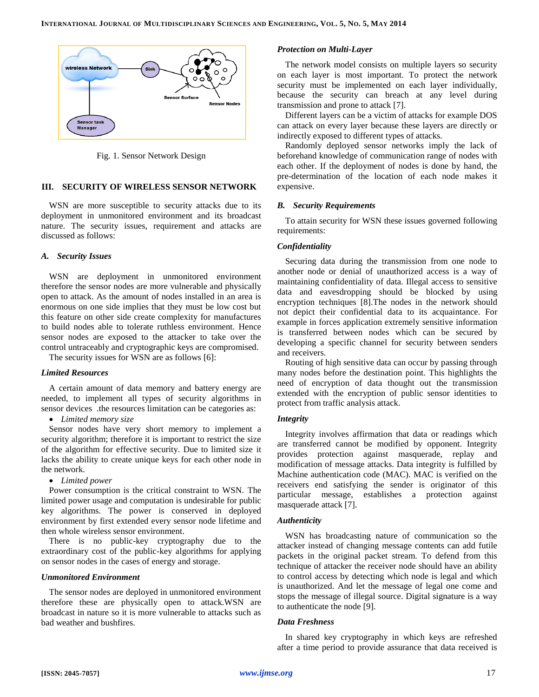

Fig. 1. Sensor Network Design

#### **III. SECURITY OF WIRELESS SENSOR NETWORK**

WSN are more susceptible to security attacks due to its deployment in unmonitored environment and its broadcast nature. The security issues, requirement and attacks are discussed as follows:

## *A. Security Issues*

WSN are deployment in unmonitored environment therefore the sensor nodes are more vulnerable and physically open to attack. As the amount of nodes installed in an area is enormous on one side implies that they must be low cost but this feature on other side create complexity for manufactures to build nodes able to tolerate ruthless environment. Hence sensor nodes are exposed to the attacker to take over the control untraceably and cryptographic keys are compromised.

The security issues for WSN are as follows [\[6\]](#page-5-5):

#### *Limited Resources*

A certain amount of data memory and battery energy are needed, to implement all types of security algorithms in sensor devices .the resources limitation can be categories as:

*Limited memory size*

Sensor nodes have very short memory to implement a security algorithm; therefore it is important to restrict the size of the algorithm for effective security. Due to limited size it lacks the ability to create unique keys for each other node in the network.

*Limited power*

Power consumption is the critical constraint to WSN. The limited power usage and computation is undesirable for public key algorithms. The power is conserved in deployed environment by first extended every sensor node lifetime and then whole wireless sensor environment.

There is no public-key cryptography due to the extraordinary cost of the public-key algorithms for applying on sensor nodes in the cases of energy and storage.

# *Unmonitored Environment*

The sensor nodes are deployed in unmonitored environment therefore these are physically open to attack.WSN are broadcast in nature so it is more vulnerable to attacks such as bad weather and bushfires.

## *Protection on Multi-Layer*

The network model consists on multiple layers so security on each layer is most important. To protect the network security must be implemented on each layer individually, because the security can breach at any level during transmission and prone to attack [\[7\]](#page-6-0).

Different layers can be a victim of attacks for example DOS can attack on every layer because these layers are directly or indirectly exposed to different types of attacks.

Randomly deployed sensor networks imply the lack of beforehand knowledge of communication range of nodes with each other. If the deployment of nodes is done by hand, the pre-determination of the location of each node makes it expensive.

#### *B. Security Requirements*

To attain security for WSN these issues governed following requirements:

# *Confidentiality*

Securing data during the transmission from one node to another node or denial of unauthorized access is a way of maintaining confidentiality of data. Illegal access to sensitive data and eavesdropping should be blocked by using encryption techniques [\[8\]](#page-6-1).The nodes in the network should not depict their confidential data to its acquaintance. For example in forces application extremely sensitive information is transferred between nodes which can be secured by developing a specific channel for security between senders and receivers.

Routing of high sensitive data can occur by passing through many nodes before the destination point. This highlights the need of encryption of data thought out the transmission extended with the encryption of public sensor identities to protect from traffic analysis attack.

#### *Integrity*

Integrity involves affirmation that data or readings which are transferred cannot be modified by opponent. Integrity provides protection against masquerade, replay and modification of message attacks. Data integrity is fulfilled by Machine authentication code (MAC). MAC is verified on the receivers end satisfying the sender is originator of this particular message, establishes a protection against masquerade attack [\[7\]](#page-6-0).

#### *Authenticity*

WSN has broadcasting nature of communication so the attacker instead of changing message contents can add futile packets in the original packet stream. To defend from this technique of attacker the receiver node should have an ability to control access by detecting which node is legal and which is unauthorized. And let the message of legal one come and stops the message of illegal source. Digital signature is a way to authenticate the node [\[9\]](#page-6-2).

#### *Data Freshness*

In shared key cryptography in which keys are refreshed after a time period to provide assurance that data received is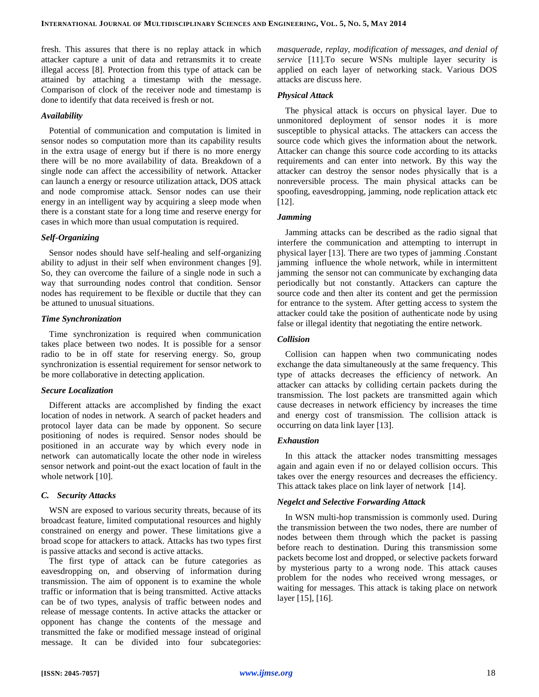fresh. This assures that there is no replay attack in which attacker capture a unit of data and retransmits it to create illegal access [\[8\]](#page-6-1). Protection from this type of attack can be attained by attaching a timestamp with the message. Comparison of clock of the receiver node and timestamp is done to identify that data received is fresh or not.

## *Availability*

Potential of communication and computation is limited in sensor nodes so computation more than its capability results in the extra usage of energy but if there is no more energy there will be no more availability of data. Breakdown of a single node can affect the accessibility of network. Attacker can launch a energy or resource utilization attack, DOS attack and node compromise attack. Sensor nodes can use their energy in an intelligent way by acquiring a sleep mode when there is a constant state for a long time and reserve energy for cases in which more than usual computation is required.

## *Self-Organizing*

Sensor nodes should have self-healing and self-organizing ability to adjust in their self when environment changes [\[9\]](#page-6-2). So, they can overcome the failure of a single node in such a way that surrounding nodes control that condition. Sensor nodes has requirement to be flexible or ductile that they can be attuned to unusual situations.

# *Time Synchronization*

Time synchronization is required when communication takes place between two nodes. It is possible for a sensor radio to be in off state for reserving energy. So, group synchronization is essential requirement for sensor network to be more collaborative in detecting application.

#### *Secure Localization*

Different attacks are accomplished by finding the exact location of nodes in network. A search of packet headers and protocol layer data can be made by opponent. So secure positioning of nodes is required. Sensor nodes should be positioned in an accurate way by which every node in network can automatically locate the other node in wireless sensor network and point-out the exact location of fault in the whole network [\[10\]](#page-6-3).

#### *C. Security Attacks*

WSN are exposed to various security threats, because of its broadcast feature, limited computational resources and highly constrained on energy and power. These limitations give a broad scope for attackers to attack. Attacks has two types first is passive attacks and second is active attacks.

The first type of attack can be future categories as eavesdropping on, and observing of information during transmission. The aim of opponent is to examine the whole traffic or information that is being transmitted. Active attacks can be of two types, analysis of traffic between nodes and release of message contents. In active attacks the attacker or opponent has change the contents of the message and transmitted the fake or modified message instead of original message. It can be divided into four subcategories: *masquerade, replay, modification of messages, and denial of service* [\[11\]](#page-6-4).To secure WSNs multiple layer security is applied on each layer of networking stack. Various DOS attacks are discuss here.

## *Physical Attack*

The physical attack is occurs on physical layer. Due to unmonitored deployment of sensor nodes it is more susceptible to physical attacks. The attackers can access the source code which gives the information about the network. Attacker can change this source code according to its attacks requirements and can enter into network. By this way the attacker can destroy the sensor nodes physically that is a nonreversible process. The main physical attacks can be spoofing, eavesdropping, jamming, node replication attack etc [\[12\]](#page-6-5).

# *Jamming*

Jamming attacks can be described as the radio signal that interfere the communication and attempting to interrupt in physical layer [\[13\]](#page-6-6). There are two types of jamming .Constant jamming influence the whole network, while in intermittent jamming the sensor not can communicate by exchanging data periodically but not constantly. Attackers can capture the source code and then alter its content and get the permission for entrance to the system. After getting access to system the attacker could take the position of authenticate node by using false or illegal identity that negotiating the entire network.

## *Collision*

Collision can happen when two communicating nodes exchange the data simultaneously at the same frequency. This type of attacks decreases the efficiency of network. An attacker can attacks by colliding certain packets during the transmission. The lost packets are transmitted again which cause decreases in network efficiency by increases the time and energy cost of transmission. The collision attack is occurring on data link layer [\[13\]](#page-6-6).

## *Exhaustion*

In this attack the attacker nodes transmitting messages again and again even if no or delayed collision occurs. This takes over the energy resources and decreases the efficiency. This attack takes place on link layer of network [\[14\]](#page-6-7).

## *Negelct and Selective Forwarding Attack*

In WSN multi-hop transmission is commonly used. During the transmission between the two nodes, there are number of nodes between them through which the packet is passing before reach to destination. During this transmission some packets become lost and dropped, or selective packets forward by mysterious party to a wrong node. This attack causes problem for the nodes who received wrong messages, or waiting for messages*.* This attack is taking place on network layer [\[15\]](#page-6-8), [\[16\]](#page-6-9).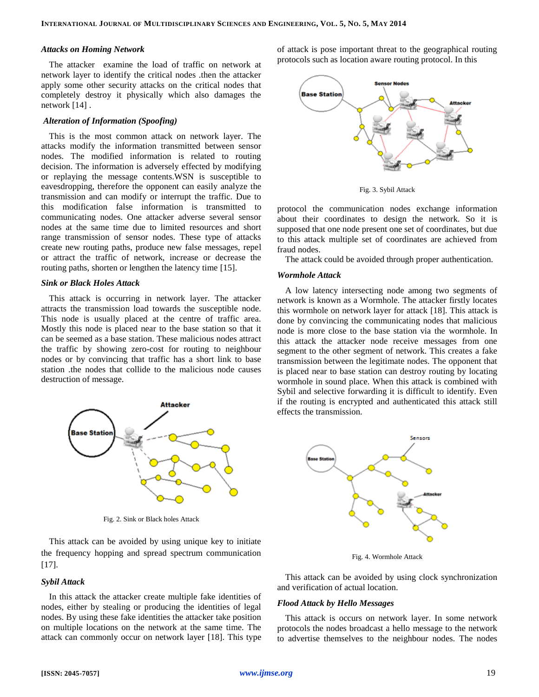#### *Attacks on Homing Network*

The attacker examine the load of traffic on network at network layer to identify the critical nodes .then the attacker apply some other security attacks on the critical nodes that completely destroy it physically which also damages the network [\[14\]](#page-6-7) .

# *Alteration of Information (Spoofing)*

This is the most common attack on network layer. The attacks modify the information transmitted between sensor nodes. The modified information is related to routing decision. The information is adversely effected by modifying or replaying the message contents.WSN is susceptible to eavesdropping, therefore the opponent can easily analyze the transmission and can modify or interrupt the traffic. Due to this modification false information is transmitted to communicating nodes. One attacker adverse several sensor nodes at the same time due to limited resources and short range transmission of sensor nodes. These type of attacks create new routing paths, produce new false messages, repel or attract the traffic of network, increase or decrease the routing paths, shorten or lengthen the latency time [\[15\]](#page-6-8).

#### *Sink or Black Holes Attack*

This attack is occurring in network layer. The attacker attracts the transmission load towards the susceptible node. This node is usually placed at the centre of traffic area. Mostly this node is placed near to the base station so that it can be seemed as a base station. These malicious nodes attract the traffic by showing zero-cost for routing to neighbour nodes or by convincing that traffic has a short link to base station .the nodes that collide to the malicious node causes destruction of message.



Fig. 2. Sink or Black holes Attack

This attack can be avoided by using unique key to initiate the frequency hopping and spread spectrum communication [\[17\]](#page-6-10).

#### *Sybil Attack*

In this attack the attacker create multiple fake identities of nodes, either by stealing or producing the identities of legal nodes. By using these fake identities the attacker take position on multiple locations on the network at the same time. The attack can commonly occur on network layer [\[18\]](#page-6-11). This type of attack is pose important threat to the geographical routing protocols such as location aware routing protocol. In this



Fig. 3. Sybil Attack

protocol the communication nodes exchange information about their coordinates to design the network. So it is supposed that one node present one set of coordinates, but due to this attack multiple set of coordinates are achieved from fraud nodes.

The attack could be avoided through proper authentication.

## *Wormhole Attack*

A low latency intersecting node among two segments of network is known as a Wormhole. The attacker firstly locates this wormhole on network layer for attack [\[18\]](#page-6-11). This attack is done by convincing the communicating nodes that malicious node is more close to the base station via the wormhole. In this attack the attacker node receive messages from one segment to the other segment of network. This creates a fake transmission between the legitimate nodes. The opponent that is placed near to base station can destroy routing by locating wormhole in sound place. When this attack is combined with Sybil and selective forwarding it is difficult to identify. Even if the routing is encrypted and authenticated this attack still effects the transmission.



Fig. 4. Wormhole Attack

This attack can be avoided by using clock synchronization and verification of actual location.

#### *Flood Attack by Hello Messages*

This attack is occurs on network layer. In some network protocols the nodes broadcast a hello message to the network to advertise themselves to the neighbour nodes. The nodes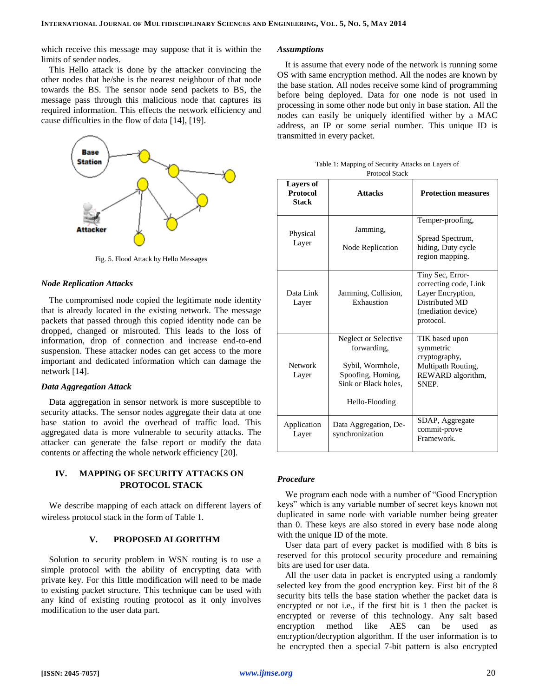which receive this message may suppose that it is within the limits of sender nodes.

This Hello attack is done by the attacker convincing the other nodes that he/she is the nearest neighbour of that node towards the BS. The sensor node send packets to BS, the message pass through this malicious node that captures its required information. This effects the network efficiency and cause difficulties in the flow of data [\[14\]](#page-6-7), [\[19\]](#page-6-12).



Fig. 5. Flood Attack by Hello Messages

#### *Node Replication Attacks*

The compromised node copied the legitimate node identity that is already located in the existing network. The message packets that passed through this copied identity node can be dropped, changed or misrouted. This leads to the loss of information, drop of connection and increase end-to-end suspension. These attacker nodes can get access to the more important and dedicated information which can damage the network [\[14\]](#page-6-7).

#### *Data Aggregation Attack*

Data aggregation in sensor network is more susceptible to security attacks. The sensor nodes aggregate their data at one base station to avoid the overhead of traffic load. This aggregated data is more vulnerable to security attacks. The attacker can generate the false report or modify the data contents or affecting the whole network efficiency [\[20\]](#page-6-13).

# **IV. MAPPING OF SECURITY ATTACKS ON PROTOCOL STACK**

We describe mapping of each attack on different layers of wireless protocol stack in the form of Table 1.

# **V. PROPOSED ALGORITHM**

Solution to security problem in WSN routing is to use a simple protocol with the ability of encrypting data with private key. For this little modification will need to be made to existing packet structure. This technique can be used with any kind of existing routing protocol as it only involves modification to the user data part.

#### *Assumptions*

It is assume that every node of the network is running some OS with same encryption method. All the nodes are known by the base station. All nodes receive some kind of programming before being deployed. Data for one node is not used in processing in some other node but only in base station. All the nodes can easily be uniquely identified wither by a MAC address, an IP or some serial number. This unique ID is transmitted in every packet.

| <b>Layers of</b><br><b>Protocol</b><br>Stack | <b>Attacks</b>                                                                                                         | <b>Protection measures</b>                                                                                          |
|----------------------------------------------|------------------------------------------------------------------------------------------------------------------------|---------------------------------------------------------------------------------------------------------------------|
| Physical<br>Layer                            | Jamming,<br>Node Replication                                                                                           | Temper-proofing,<br>Spread Spectrum,<br>hiding, Duty cycle<br>region mapping.                                       |
| Data Link<br>Layer                           | Jamming, Collision,<br>Exhaustion                                                                                      | Tiny Sec, Error-<br>correcting code, Link<br>Layer Encryption,<br>Distributed MD<br>(mediation device)<br>protocol. |
| Network<br>Layer                             | Neglect or Selective<br>forwarding,<br>Sybil, Wormhole,<br>Spoofing, Homing,<br>Sink or Black holes,<br>Hello-Flooding | TIK based upon<br>symmetric<br>cryptography,<br>Multipath Routing,<br>REWARD algorithm,<br>SNEP.                    |
| Application<br>Layer                         | Data Aggregation, De-<br>synchronization                                                                               | SDAP, Aggregate<br>commit-prove<br>Framework.                                                                       |

Table 1: Mapping of Security Attacks on Layers of Protocol Stack

#### *Procedure*

We program each node with a number of "Good Encryption keys" which is any variable number of secret keys known not duplicated in same node with variable number being greater than 0. These keys are also stored in every base node along with the unique ID of the mote.

User data part of every packet is modified with 8 bits is reserved for this protocol security procedure and remaining bits are used for user data.

All the user data in packet is encrypted using a randomly selected key from the good encryption key. First bit of the 8 security bits tells the base station whether the packet data is encrypted or not i.e., if the first bit is 1 then the packet is encrypted or reverse of this technology. Any salt based encryption method like AES can be used as encryption/decryption algorithm. If the user information is to be encrypted then a special 7-bit pattern is also encrypted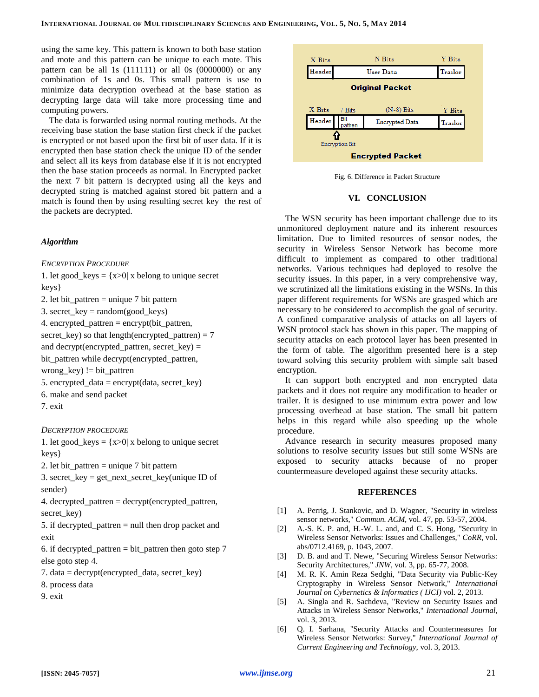using the same key. This pattern is known to both base station and mote and this pattern can be unique to each mote. This pattern can be all 1s  $(111111)$  or all 0s  $(0000000)$  or any combination of 1s and 0s. This small pattern is use to minimize data decryption overhead at the base station as decrypting large data will take more processing time and computing powers.

The data is forwarded using normal routing methods. At the receiving base station the base station first check if the packet is encrypted or not based upon the first bit of user data. If it is encrypted then base station check the unique ID of the sender and select all its keys from database else if it is not encrypted then the base station proceeds as normal. In Encrypted packet the next 7 bit pattern is decrypted using all the keys and decrypted string is matched against stored bit pattern and a match is found then by using resulting secret key the rest of the packets are decrypted.

# *Algorithm*

*ENCRYPTION PROCEDURE*

1. let good\_keys =  $\{x>0\}$  x belong to unique secret

keys}

2. let bit pattren  $=$  unique 7 bit pattern

3. secret  $key = random(goodkeys)$ 

4. encrypted\_pattren = encrypt(bit\_pattren,

secret key) so that length(encrypted pattren) = 7

and decrypt(encrypted\_pattren, secret\_key) =

bit\_pattren while decrypt(encrypted\_pattren,

wrong\_key) != bit\_pattren

- 5. encrypted\_data = encrypt $(data, secret\_key)$
- 6. make and send packet

7. exit

# *DECRYPTION PROCEDURE*

1. let good  $keys = \{x>0 | x \text{ belong to unique secret}\}\$ keys}

2. let bit pattren  $=$  unique 7 bit pattern

3. secret\_key = get\_next\_secret\_key(unique ID of sender)

4. decrypted pattren = decrypt(encrypted pattren, secret\_key)

5. if decrypted pattren  $=$  null then drop packet and exit

6. if decrypted\_pattren = bit\_pattren then goto step  $7$ else goto step 4.

- 7. data = decrypt(encrypted\_data, secret\_key)
- 8. process data

9. exit



Fig. 6. Difference in Packet Structure

# **VI. CONCLUSION**

The WSN security has been important challenge due to its unmonitored deployment nature and its inherent resources limitation. Due to limited resources of sensor nodes, the security in Wireless Sensor Network has become more difficult to implement as compared to other traditional networks. Various techniques had deployed to resolve the security issues. In this paper, in a very comprehensive way, we scrutinized all the limitations existing in the WSNs. In this paper different requirements for WSNs are grasped which are necessary to be considered to accomplish the goal of security. A confined comparative analysis of attacks on all layers of WSN protocol stack has shown in this paper. The mapping of security attacks on each protocol layer has been presented in the form of table. The algorithm presented here is a step toward solving this security problem with simple salt based encryption.

It can support both encrypted and non encrypted data packets and it does not require any modification to header or trailer. It is designed to use minimum extra power and low processing overhead at base station. The small bit pattern helps in this regard while also speeding up the whole procedure.

Advance research in security measures proposed many solutions to resolve security issues but still some WSNs are exposed to security attacks because of no proper countermeasure developed against these security attacks.

## <span id="page-5-4"></span>**REFERENCES**

- <span id="page-5-0"></span>[1] A. Perrig, J. Stankovic, and D. Wagner, "Security in wireless sensor networks," *Commun. ACM,* vol. 47, pp. 53-57, 2004.
- <span id="page-5-1"></span>[2] A.-S. K. P. and, H.-W. L. and, and C. S. Hong, "Security in Wireless Sensor Networks: Issues and Challenges," *CoRR,* vol. abs/0712.4169, p. 1043, 2007.
- <span id="page-5-2"></span>[3] D. B. and and T. Newe, "Securing Wireless Sensor Networks: Security Architectures," *JNW,* vol. 3, pp. 65-77, 2008.
- <span id="page-5-3"></span>[4] M. R. K. Amin Reza Sedghi, "Data Security via Public-Key Cryptography in Wireless Sensor Network," *International Journal on Cybernetics & Informatics ( IJCI)* vol. 2, 2013.
- [5] A. Singla and R. Sachdeva, "Review on Security Issues and Attacks in Wireless Sensor Networks," *International Journal,*  vol. 3, 2013.
- <span id="page-5-5"></span>[6] Q. I. Sarhana, "Security Attacks and Countermeasures for Wireless Sensor Networks: Survey," *International Journal of Current Engineering and Technology,* vol. 3, 2013.